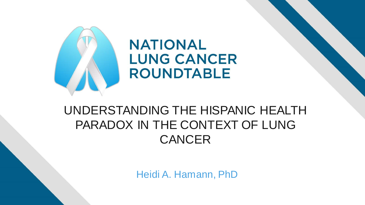

### UNDERSTANDING THE HISPANIC HEALTH PARADOX IN THE CONTEXT OF LUNG **CANCER**

Heidi A. Hamann, PhD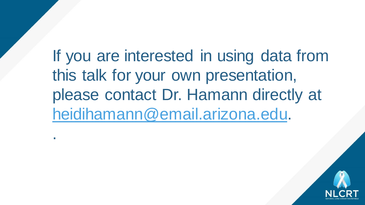If you are interested in using data from this talk for your own presentation, please contact Dr. Hamann directly at [heidihamann@email.arizona.edu](mailto:heidihamann@email.arizona.edu).

.

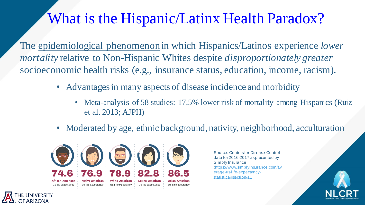## What is the Hispanic/Latinx Health Paradox?

The epidemiological phenomenon in which Hispanics/Latinos experience *lower mortality* relative to Non-Hispanic Whites despite *disproportionately greater* socioeconomic health risks (e.g., insurance status, education, income, racism).

- Advantages in many aspects of disease incidence and morbidity
	- Meta-analysis of 58 studies: 17.5% lower risk of mortality among Hispanics (Ruiz et al. 2013; AJPH)
- Moderated by age, ethnic background, nativity, neighborhood, acculturation



Source: Centers for Disease Control data for 2016-2017 as presented by Simply Insurance [\(https://www.simplyinsurance.com/av](https://www.simplyinsurance.com/average-us-life-expectancy-statistics/#section-11) erage-us-life-expectancystatistics/#section-11

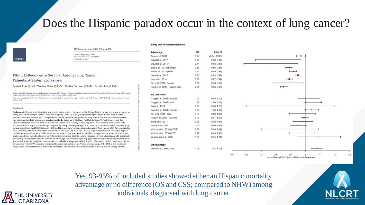### Does the Hispanic paradox occur in the context of lung cancer?

#### **Study and Associated Estimate**

#### JNCI Cancer Spectrum (2021) 5(5): pkab062

doi: 10.1093/jncics/pkab062 First published online 7 July 2021 Systematic Review

#### Ethnic Differences in Survival Among Lung Cancer Patients: A Systematic Review

Sarah N. Price (D. MA.<sup>1,\*</sup> Melissa Flores (D. PhD.<sup>1,2</sup> Heidi A. Hamann (D. PhD.<sup>1,3</sup> John M. Ruiz (D. PhD<sup>1</sup>

"Department of Psychology, University of Arizona, Tucson, AZ, USA; "Center for Border Health Disparities, University of Arizona Health Sciences, Tucson, AZ, USA; and <sup>5</sup>Department of Family and Community Medicine, University of Arizona, Tucson, AZ, USA

"Correspondence to: Sarah N. Price, MA, Department of Psychology, University of Arizona, 1503 E. University Blvd, Tucson, AZ 85719, USA (e-mail: sarahnprice@email. arizona.edu)

#### Abstract

OXFORD

Background: Despite a substantially worse risk factor profile, Hispanics in the United States experience lower incidence of many diseases and longer survival than non-Hispanic Whites (NHWs), an epidemiological phenomenon known as the Hispanic Health Paradox (HHP). This systematic review evaluated the published longitudinal literature to address whether this pattern extends to lung cancer survival. Methods: Searches of Medline, PubMed, Embase, Web of Science, and the Cochrane Library were conducted for publications dated from January 1, 2000, to July 18, 2018. Records were restricted to articles written in English, employing a longitudinal design, and reporting a direct survival comparison (overall survival [OS], cancer-specific survival [CSS]) between NHW and Hispanic lung cancer patients. Results: A final sample of 29 full-text articles were included, with 28 fully adjusted models of OS and 21 of CSS included. Overall, 26 (92.9%) OS models and 20 (95.2%) CSS models documented either no difference (OS = 16, CSS = 11) or a Hispanic survival advantage (OS = 10, CSS = 9). Both larger studies and those including foreign-born Hispanics were more likely to show a Hispanic survival advantage, and 2 studies of exclusively no-smokers showed a survival disadvantage. A number of reporting gaps were identified including Hispanic background and sociodemographic characteristics. Conclusions: Hispanics exhibit similar or better survival in the context of lung cancer relative to NHWs despite a considerably worse risk factor profile. These findings support the HHP in the context of lung cancer. Further research is needed to understand the potential mechanisms of the HHP as it relates to lung cancer.

| Advantage                         | <b>HR</b> | 95% CI        |
|-----------------------------------|-----------|---------------|
| Aizer et al., 2014                | 0.97      | (0.94, 0.996) |
| David et al., 2017                | 0.80      | (0.66, 0.97)  |
| David et al., 2015*               | 0.74      | (0.58, 0.95)  |
| Ellis et al., 2018   Female       | 0.89      | (0.86, 0.91)  |
| Ellis et al., 2018   Male         | 0.92      | (0.89, 0.94)  |
| Jernal et al., 2017               | 0.95      | (0.93, 0.97)  |
| Lara et al., 2014                 | 0.89      | (0.87, 0.91)  |
| Niu et al., 2010   Female         | 0.88      | (0.78, 0.99)  |
| Patel et al., 2013   Foreign-born | 0.85      | (0.83, 0.88)  |
| No Difference                     |           |               |
| Clegg et al., 2002   Female       | 1.00      | (0.95, 1.10)  |
| Clegg et al., 2002   Male         | 1.10      | (1.00, 1.11)  |
| Du et al., 2011                   | 0.80      | (0.60, 1.20)  |
| Jemal et al., 2004   Female       | 1.04      | (1.00, 1.09)  |
| Niu et al., 2010   Male           | 0.98      | (0.89, 1.07)  |
| Patel et al., 2013   US-born      | 0.99      | (0.97, 1.02)  |
| Smith et al., 2011                | 0.98      | (0.92, 1.05)  |
| Soneji et al., 2017               | 0.95      | (0.90, 1.01)  |
| Variotto et al., 2018a   ESR*     | 0.88      | (0.70, 1.09)  |
| Variotto et al., 2018a   TS*      | 0.97      | (0.89.1.06)   |
| Wisnivesky et al., 2005           | 1.09      | (0.95, 1.24)  |
| Disadvantage                      |           |               |
| Jernal et al., 2004   Male        | 1.08      | (1.04, 1.12)  |



Yes. 93-95% of included studies showed either an Hispanic mortality advantage or no difference (OS and CSS; compared to NHW) among individuals diagnosed with lung cancer



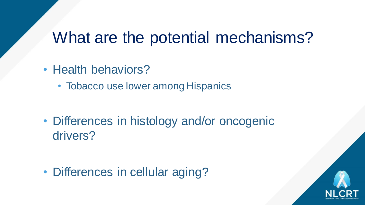## What are the potential mechanisms?

- Health behaviors?
	- Tobacco use lower among Hispanics

• Differences in histology and/or oncogenic drivers?

• Differences in cellular aging?

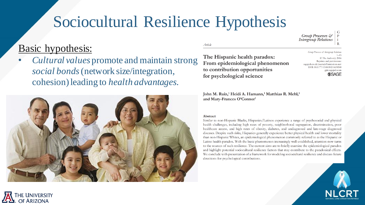# Sociocultural Resilience Hypothesis

### Basic hypothesis:

• *Cultural values* promote and maintain strong *social bonds* (network size/integration, cohesion) leading to *health advantages*.



The Hispanic health paradox: From epidemiological phenomenon to contribution opportunities for psychological science

John M. Ruiz,<sup>1</sup> Heidi A. Hamann,<sup>1</sup> Matthias R. Mehl,<sup>1</sup> and Mary-Frances O'Connor1

#### Abstract

Article

Similar to non-Hispanic Blacks, Hispanics/Latinos experience a range of psychosocial and physical health challenges, including high rates of poverty, neighborhood segregation, discrimination, poor healthcare access, and high rates of obesity, diabetes, and undiagnosed and late-stage diagnosed diseases. Despite such risks, Hispanics generally experience better physical health and lower mortality than non-Hispanic Whites, an epidemiological phenomenon commonly referred to as the Hispanic or Latino health paradox. With the basic phenomenon increasingly well-established, attention now turns to the sources of such resilience. The current aims are to briefly examine the epidemiological paradox and highlight potential sociocultural resilience factors that may contribute to the paradoxical effects. We conclude with presentation of a framework for modeling sociocultural resilience and discuss future directions for psychological contributions.



Group Processes & **Intergroup Relations** 

Group Processes & Intergroup Relation.

sagepub.co.uk/journalsPermissions.nav DOI: 10.1177/1368430216638540

 $1 - 15$ © The Author(s) 2016 Reprints and permissions

> gpir.sagepub.com **SSAGE**

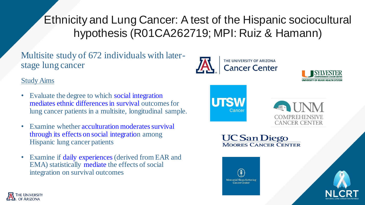Ethnicity and Lung Cancer: A test of the Hispanic sociocultural hypothesis (R01CA262719; MPI: Ruiz & Hamann)

### Multisite study of 672 individuals with laterstage lung cancer

### Study Aims

- Evaluate the degree to which social integration mediates ethnic differences in survival outcomes for lung cancer patients in a multisite, longitudinal sample.
- Examine whether acculturation moderates survival through its effects on social integration among Hispanic lung cancer patients
- Examine if daily experiences (derived from EAR and EMA) statistically mediate the effects of social integration on survival outcomes







**UC San Diego MOORES CANCER CENTER**